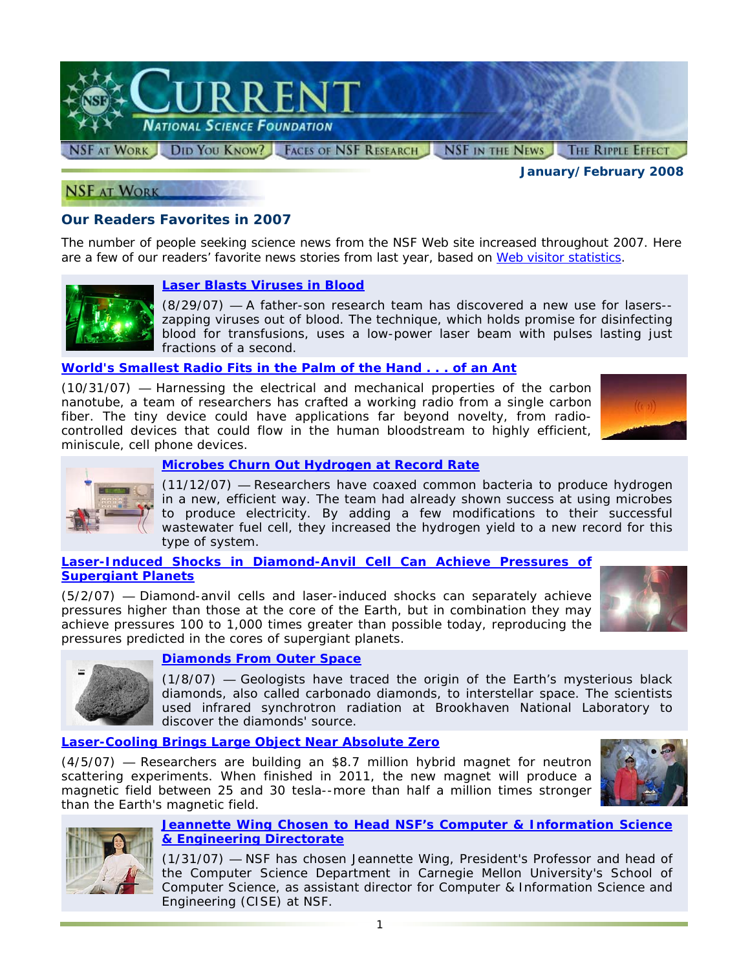

*January/February 2008* 

## **NSF AT WORK**

# **Our Readers Favorites in 2007**

The number of people seeking science news from the NSF Web site increased throughout 2007. Here are a few of our readers' favorite news stories from last year, based on [Web visitor statistics.](http://www.nsf.gov/discoveries/disc_summ.jsp?cntn_id=111049&org=NSF&from=news#sidebar)

### **[Laser Blasts Viruses in Blood](http://www.nsf.gov/news/news_summ.jsp?cntn_id=110077)**

(8/29/07) — A father-son research team has discovered a new use for lasers- zapping viruses out of blood. The technique, which holds promise for disinfecting blood for transfusions, uses a low-power laser beam with pulses lasting just fractions of a second.

### **[World's Smallest Radio Fits in the Palm of the Hand . . . of an Ant](http://www.nsf.gov/news/news_summ.jsp?cntn_id=110566)**

(10/31/07) — Harnessing the electrical and mechanical properties of the carbon nanotube, a team of researchers has crafted a working radio from a single carbon fiber. The tiny device could have applications far beyond novelty, from radiocontrolled devices that could flow in the human bloodstream to highly efficient, miniscule, cell phone devices.





### **[Microbes Churn Out Hydrogen at Record Rate](http://www.nsf.gov/news/news_summ.jsp?cntn_id=110648)**

(11/12/07) — Researchers have coaxed common bacteria to produce hydrogen in a new, efficient way. The team had already shown success at using microbes to produce electricity. By adding a few modifications to their successful wastewater fuel cell, they increased the hydrogen yield to a new record for this type of system.

### **[Laser-Induced Shocks in Diamond-Anvil Cell Can Achieve Pressures of](http://www.nsf.gov/news/news_summ.jsp?cntn_id=110362)  [Supergiant Planets](http://www.nsf.gov/news/news_summ.jsp?cntn_id=110362)**

(5/2/07) — Diamond-anvil cells and laser-induced shocks can separately achieve pressures higher than those at the core of the Earth, but in combination they may achieve pressures 100 to 1,000 times greater than possible today, reproducing the pressures predicted in the cores of supergiant planets.





### **[Diamonds From Outer Space](http://www.nsf.gov/news/news_summ.jsp?cntn_id=108270)**

(1/8/07) — Geologists have traced the origin of the Earth's mysterious black diamonds, also called carbonado diamonds, to interstellar space. The scientists used infrared synchrotron radiation at Brookhaven National Laboratory to discover the diamonds' source.

## **[Laser-Cooling Brings Large Object Near Absolute Zero](http://www.nsf.gov/news/news_summ.jsp?cntn_id=110177)**

(4/5/07) — Researchers are building an \$8.7 million hybrid magnet for neutron scattering experiments. When finished in 2011, the new magnet will produce a magnetic field between 25 and 30 tesla--more than half a million times stronger than the Earth's magnetic field.





#### **[Jeannette Wing Chosen to Head NSF's Computer & Information Science](http://www.nsf.gov/news/news_summ.jsp?cntn_id=108322)  [& Engineering Directorate](http://www.nsf.gov/news/news_summ.jsp?cntn_id=108322)**

(1/31/07) — NSF has chosen Jeannette Wing, President's Professor and head of the Computer Science Department in Carnegie Mellon University's School of Computer Science, as assistant director for Computer & Information Science and Engineering (CISE) at NSF.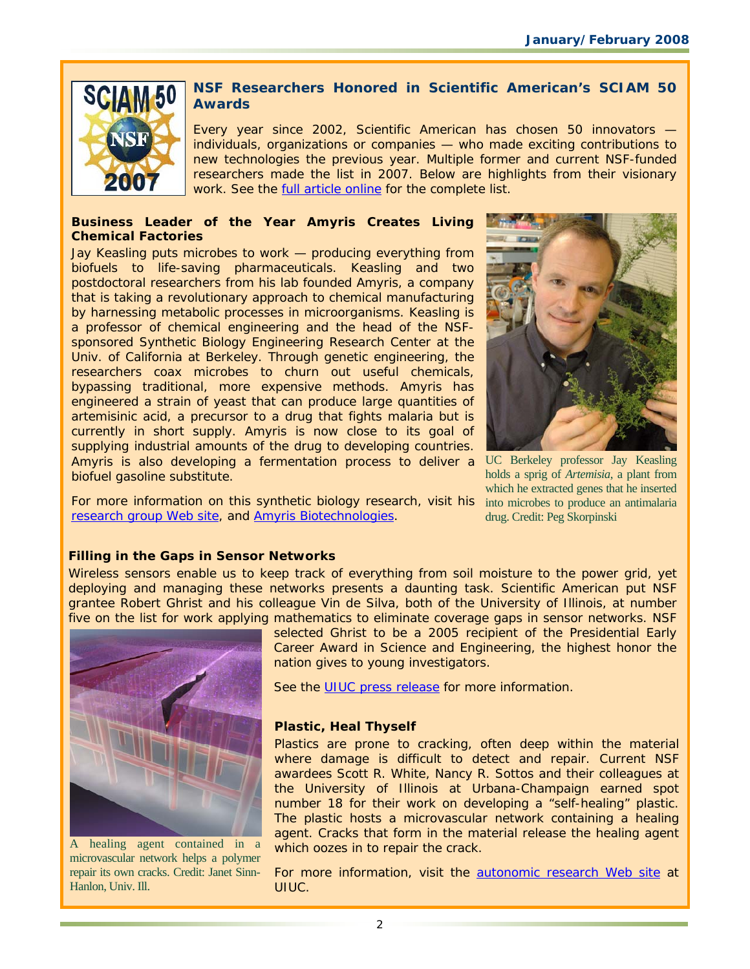

# **NSF Researchers Honored in** *Scientific American's* **SCIAM 50 Awards**

Every year since 2002, *Scientific American* has chosen 50 innovators individuals, organizations or companies — who made exciting contributions to new technologies the previous year. Multiple former and current NSF-funded researchers made the list in 2007. Below are highlights from their visionary work. See the [full article online](http://www.nsf.gov/cgi-bin/goodbye?http://www.sciam.com/article.cfm?id=sciam-50-2007) for the complete list.

### **Business Leader of the Year Amyris Creates Living Chemical Factories**

Jay Keasling puts microbes to work — producing everything from biofuels to life-saving pharmaceuticals. Keasling and two postdoctoral researchers from his lab founded Amyris, a company that is taking a revolutionary approach to chemical manufacturing by harnessing metabolic processes in microorganisms. Keasling is a professor of chemical engineering and the head of the NSFsponsored Synthetic Biology Engineering Research Center at the Univ. of California at Berkeley. Through genetic engineering, the researchers coax microbes to churn out useful chemicals, bypassing traditional, more expensive methods. Amyris has engineered a strain of yeast that can produce large quantities of artemisinic acid, a precursor to a drug that fights malaria but is currently in short supply. Amyris is now close to its goal of supplying industrial amounts of the drug to developing countries. Amyris is also developing a fermentation process to deliver a UC Berkeley professor Jay Keasling biofuel gasoline substitute.



holds a sprig of *Artemisia*, a plant from which he extracted genes that he inserted drug. Credit: Peg Skorpinski

For more information on this synthetic biology research, visit his into microbes to produce an antimalaria [research group Web site,](http://www.nsf.gov/cgi-bin/goodbye?http://keaslinglab.lbl.gov/) and [Amyris Biotechnologies.](http://www.nsf.gov/cgi-bin/goodbye?http://www.amyrisbiotech.com/)

# **Filling in the Gaps in Sensor Networks**

Wireless sensors enable us to keep track of everything from soil moisture to the power grid, yet deploying and managing these networks presents a daunting task. *Scientific American* put NSF grantee Robert Ghrist and his colleague Vin de Silva, both of the University of Illinois, at number five on the list for work applying mathematics to eliminate coverage gaps in sensor networks. NSF



A healing agent contained in a microvascular network helps a polymer repair its own cracks. Credit: Janet Sinn-Hanlon, Univ. Ill.

selected Ghrist to be a 2005 recipient of the Presidential Early Career Award in Science and Engineering, the highest honor the nation gives to young investigators.

See the [UIUC press release](http://www.nsf.gov/cgi-bin/goodbye?http://www.news.uiuc.edu/news/08/0107topfifty.html) for more information.

# **Plastic, Heal Thyself**

Plastics are prone to cracking, often deep within the material where damage is difficult to detect and repair. Current NSF awardees Scott R. White, Nancy R. Sottos and their colleagues at the University of Illinois at Urbana-Champaign earned spot number 18 for their work on developing a "self-healing" plastic. The plastic hosts a microvascular network containing a healing agent. Cracks that form in the material release the healing agent which oozes in to repair the crack.

For more information, visit the **autonomic research Web site at** UIUC.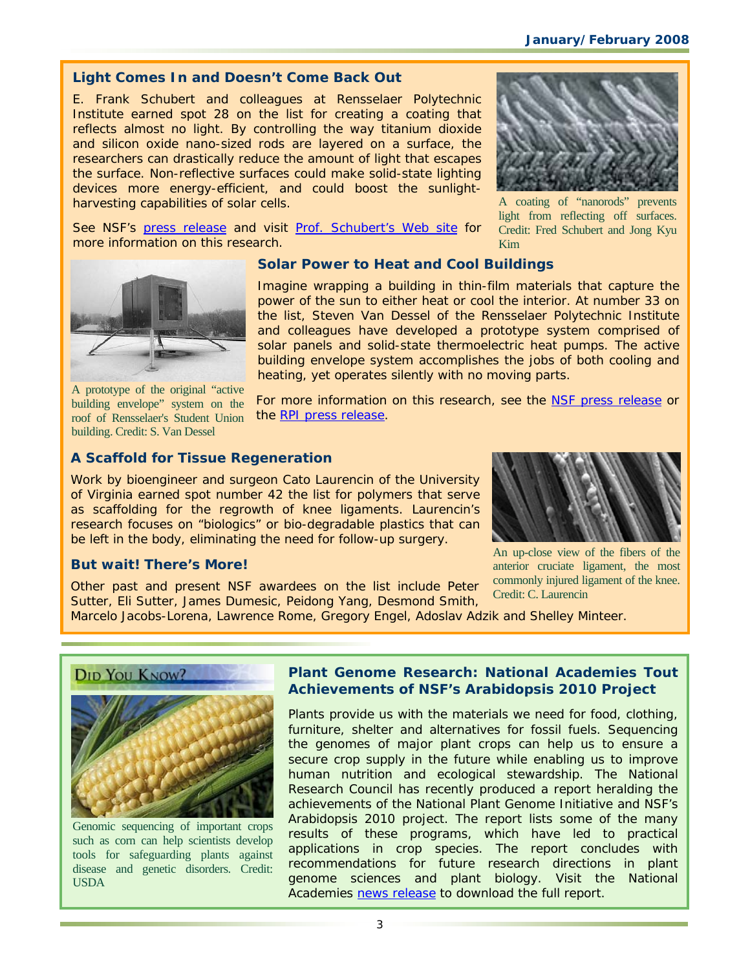# *Light Comes In and Doesn't Come Back Out*

E. Frank Schubert and colleagues at Rensselaer Polytechnic Institute earned spot 28 on the list for creating a coating that reflects almost no light. By controlling the way titanium dioxide and silicon oxide nano-sized rods are layered on a surface, the researchers can drastically reduce the amount of light that escapes the surface. Non-reflective surfaces could make solid-state lighting devices more energy-efficient, and could boost the sunlightharvesting capabilities of solar cells.

See NSF's [press release](http://www.nsf.gov/news/news_summ.jsp?cntn_id=108450) and visit [Prof. Schubert's Web site](http://www.nsf.gov/cgi-bin/goodbye?http://www.rpi.edu/~schubert/) for



A coating of "nanorods" prevents light from reflecting off surfaces. Credit: Fred Schubert and Jong Kyu Kim



more information on this research.

A prototype of the original "active building envelope" system on the roof of Rensselaer's Student Union building. Credit: S. Van Dessel

## *Solar Power to Heat and Cool Buildings*

Imagine wrapping a building in thin-film materials that capture the power of the sun to either heat or cool the interior. At number 33 on the list, Steven Van Dessel of the Rensselaer Polytechnic Institute and colleagues have developed a prototype system comprised of solar panels and solid-state thermoelectric heat pumps. The active building envelope system accomplishes the jobs of both cooling and heating, yet operates silently with no moving parts.

For more information on this research, see the [NSF press release](http://www.nsf.gov/news/news_summ.jsp?cntn_id=107086) or th[e RPI press release.](http://www.nsf.gov/cgi-bin/goodbye?http://news.rpiscrews.us/update.do?artcenterkey=1246&setappvar=page(1))

# *A Scaffold for Tissue Regeneration*

Work by bioengineer and surgeon Cato Laurencin of the University of Virginia earned spot number 42 the list for polymers that serve as scaffolding for the regrowth of knee ligaments. Laurencin's research focuses on "biologics" or bio-degradable plastics that can be left in the body, eliminating the need for follow-up surgery.



### *But wait! There's More!*

Other past and present NSF awardees on the list include Peter Sutter, Eli Sutter, James Dumesic, Peidong Yang, Desmond Smith,

An up-close view of the fibers of the anterior cruciate ligament, the most commonly injured ligament of the knee. Credit: C. Laurencin

Marcelo Jacobs-Lorena, Lawrence Rome, Gregory Engel, Adoslav Adzik and Shelley Minteer.





Genomic sequencing of important crops such as corn can help scientists develop tools for safeguarding plants against disease and genetic disorders. Credit: USDA

## **Plant Genome Research: National Academies Tout Achievements of NSF's** *Arabidopsis* **2010 Project**

Plants provide us with the materials we need for food, clothing, furniture, shelter and alternatives for fossil fuels. Sequencing the genomes of major plant crops can help us to ensure a secure crop supply in the future while enabling us to improve human nutrition and ecological stewardship. The National Research Council has recently produced a report heralding the achievements of the National Plant Genome Initiative and NSF's *Arabidopsis* 2010 project. The report lists some of the many results of these programs, which have led to practical applications in crop species. The report concludes with recommendations for future research directions in plant genome sciences and plant biology. Visit the National Academies [news release](http://www.nsf.gov/cgi-bin/goodbye?http://www.nationalacademies.org/morenews/20080109.html) to download the full report.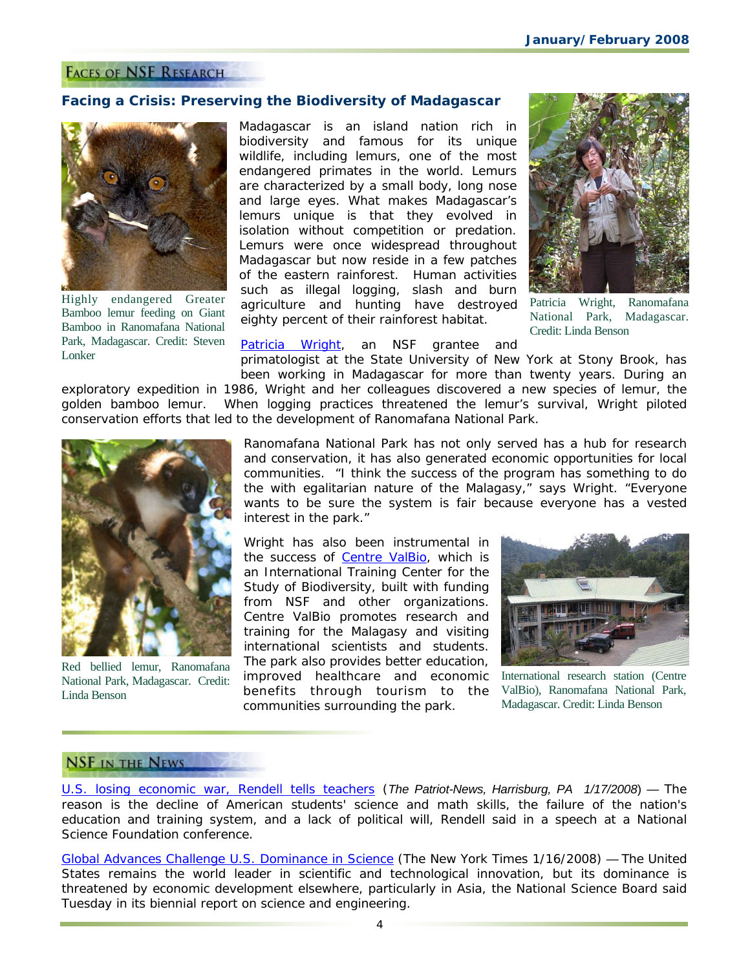### **FACES OF NSF RESEARCH**

### **Facing a Crisis: Preserving the Biodiversity of Madagascar**



Highly endangered Greater Bamboo lemur feeding on Giant Bamboo in Ranomafana National Park, Madagascar. Credit: Steven Lonker

Madagascar is an island nation rich in biodiversity and famous for its unique wildlife, including lemurs, one of the most endangered primates in the world. Lemurs are characterized by a small body, long nose and large eyes. What makes Madagascar's lemurs unique is that they evolved in isolation without competition or predation. Lemurs were once widespread throughout Madagascar but now reside in a few patches of the eastern rainforest. Human activities such as illegal logging, slash and burn agriculture and hunting have destroyed eighty percent of their rainforest habitat.



Patricia Wright, Ranomafana National Park, Madagascar. Credit: Linda Benson

[Patricia Wright,](http://www.nsf.gov/cgi-bin/goodbye?http://icte.bio.sunysb.edu/pages/people/profile_pwright.htm) an NSF grantee and

primatologist at the State University of New York at Stony Brook, has been working in Madagascar for more than twenty years. During an exploratory expedition in 1986, Wright and her colleagues discovered a new species of lemur, the

golden bamboo lemur. When logging practices threatened the lemur's survival, Wright piloted conservation efforts that led to the development of Ranomafana National Park.



Red bellied lemur, Ranomafana National Park, Madagascar. Credit: Linda Benson

Ranomafana National Park has not only served has a hub for research and conservation, it has also generated economic opportunities for local communities. "I think the success of the program has something to do the with egalitarian nature of the Malagasy," says Wright. "Everyone wants to be sure the system is fair because everyone has a vested interest in the park."

Wright has also been instrumental in the success of [Centre ValBio,](http://www.nsf.gov/cgi-bin/goodbye?http://icte.bio.sunysb.edu/pages/centrevalbio.html) which is an International Training Center for the Study of Biodiversity, built with funding from NSF and other organizations. Centre ValBio promotes research and training for the Malagasy and visiting international scientists and students. The park also provides better education, improved healthcare and economic benefits through tourism to the communities surrounding the park.



International research station (Centre ValBio), Ranomafana National Park, Madagascar. Credit: Linda Benson

# **NSF IN THE NEWS**

[U.S. losing economic war, Rendell tells teachers](http://www.nsf.gov/cgi-bin/goodbye?http://www.pennlive.com/news/patriotnews/index.ssf?/base/news/1200531312272390.xml&coll=1) (*The Patriot-News, Harrisburg, PA 1/17/2008*) — The reason is the decline of American students' science and math skills, the failure of the nation's education and training system, and a lack of political will, Rendell said in a speech at a National Science Foundation conference.

[Global Advances Challenge U.S. Dominance in Science \(](http://www.nsf.gov/cgi-bin/goodbye?http://www.nytimes.com/2008/01/16/us/16nsf.html?ref=us)*The New York Times 1/16/2008*) — The United States remains the world leader in scientific and technological innovation, but its dominance is threatened by economic development elsewhere, particularly in Asia, the National Science Board said Tuesday in its biennial report on science and engineering.